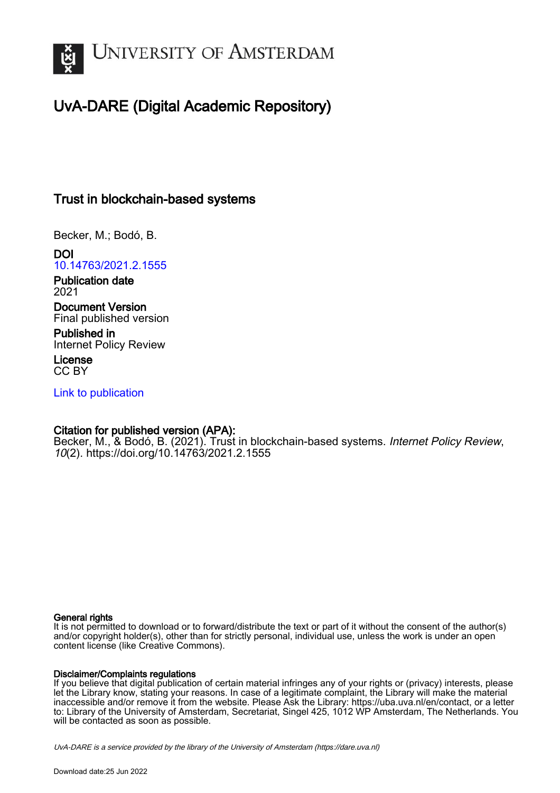

## UvA-DARE (Digital Academic Repository)

### Trust in blockchain-based systems

Becker, M.; Bodó, B.

DOI [10.14763/2021.2.1555](https://doi.org/10.14763/2021.2.1555)

Publication date 2021

Document Version Final published version

Published in Internet Policy Review

License CC BY

[Link to publication](https://dare.uva.nl/personal/pure/en/publications/trust-in-blockchainbased-systems(de8eb3a3-d6a0-4243-b91b-0b4e3b23da31).html)

#### Citation for published version (APA):

Becker, M., & Bodó, B. (2021). Trust in blockchain-based systems. Internet Policy Review, 10(2). <https://doi.org/10.14763/2021.2.1555>

#### General rights

It is not permitted to download or to forward/distribute the text or part of it without the consent of the author(s) and/or copyright holder(s), other than for strictly personal, individual use, unless the work is under an open content license (like Creative Commons).

#### Disclaimer/Complaints regulations

If you believe that digital publication of certain material infringes any of your rights or (privacy) interests, please let the Library know, stating your reasons. In case of a legitimate complaint, the Library will make the material inaccessible and/or remove it from the website. Please Ask the Library: https://uba.uva.nl/en/contact, or a letter to: Library of the University of Amsterdam, Secretariat, Singel 425, 1012 WP Amsterdam, The Netherlands. You will be contacted as soon as possible.

UvA-DARE is a service provided by the library of the University of Amsterdam (http*s*://dare.uva.nl)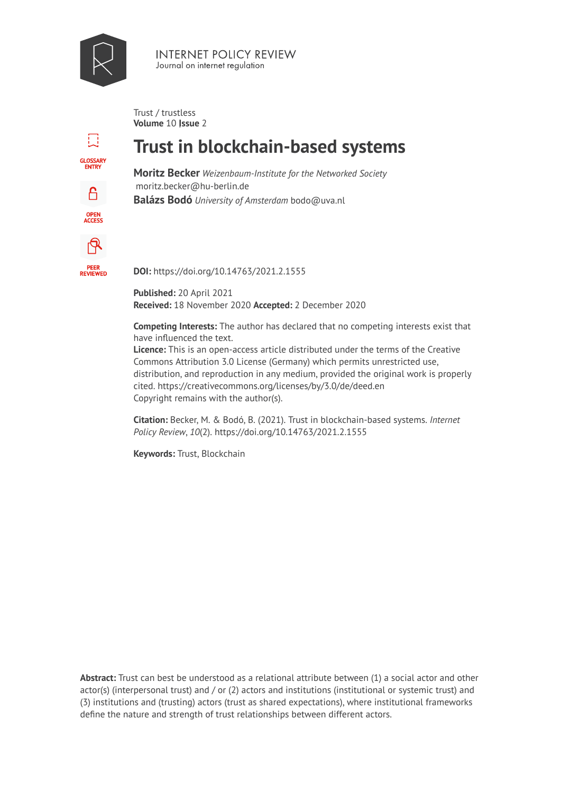

**INTERNET POLICY REVIEW** Journal on internet regulation

Trust / trustless **Volume 10 | ssue 2** 

# H **GLOSSARY**<br>ENTRY A.

OPEN<br>ACCESS

டி

**PEER<br>REVIEWED** 

# **Trust in blockchain-based systems**

**Moritz Becker** *Weizenbaum-Institute for the Networked Society*  moritz.becker@hu-berlin.de **Balázs Bodó** *University of Amsterdam* bodo@uva.nl

**DOI:** https://doi.org/10.14763/2021.2.1555

**Published:** 20 April 2021 **Received:** 18 November 2020 **Accepted:** 2 December 2020

**Competing Interests:** The author has declared that no competing interests exist that have influenced the text.

**Licence:** [This is an open-access article distributed under the terms of the Creative](https://creativecommons.org/licenses/by/3.0/de/deed.en)  [Commons Attribution 3.0 License \(Germany\) which permits unrestricted use,](https://creativecommons.org/licenses/by/3.0/de/deed.en) [distribution, and reproduction in any medium, provided the original work is properly](https://creativecommons.org/licenses/by/3.0/de/deed.en)  cited. <https://creativecommons.org/licenses/by/3.0/de/deed.en> [Copyright remains with the author\(s\).](https://creativecommons.org/licenses/by/3.0/de/deed.en) 

**Citation:** Becker, M. & Bodó, B. (2021). Trust in blockchain-based systems. *Internet Policy Review*, *10*(2). https://doi.org/10.14763/2021.2.1555

**Keywords:** Trust, Blockchain

**Abstract:** Trust can best be understood as a relational attribute between (1) a social actor and other actor(s) (interpersonal trust) and / or (2) actors and institutions (institutional or systemic trust) and (3) institutions and (trusting) actors (trust as shared expectations), where institutional frameworks define the nature and strength of trust relationships between different actors.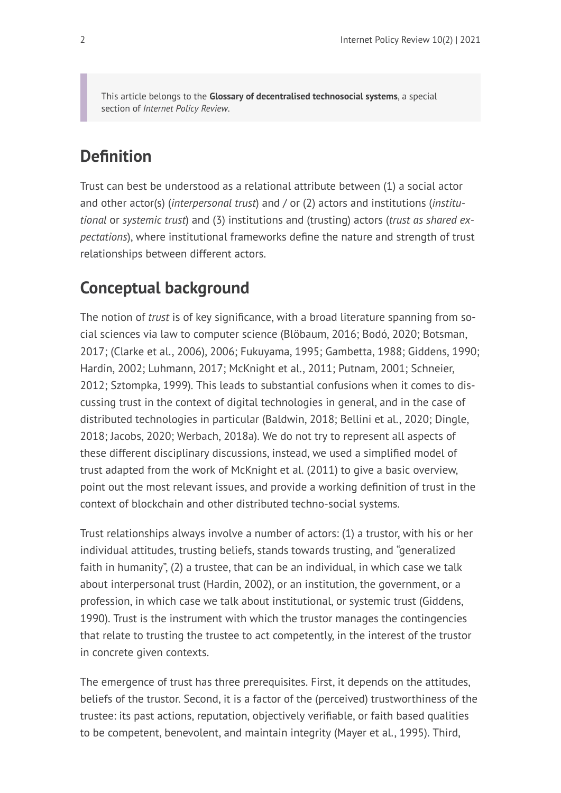This article belongs to the **[Glossary of decentralised technosocial systems](https://policyreview.info/glossary/)**, a special section of *Internet Policy Review*.

# **Definition**

Trust can best be understood as a relational attribute between (1) a social actor and other actor(s) (*interpersonal trust*) and / or (2) actors and institutions (*institutional* or *systemic trust*) and (3) institutions and (trusting) actors (*trust as shared expectations*), where institutional frameworks define the nature and strength of trust relationships between different actors.

# **Conceptual background**

The notion of *trust* is of key significance, with a broad literature spanning from social sciences via law to computer science (Blöbaum, 2016; Bodó, 2020; Botsman, 2017; (Clarke et al., 2006), 2006; Fukuyama, 1995; Gambetta, 1988; Giddens, 1990; Hardin, 2002; Luhmann, 2017; McKnight et al., 2011; Putnam, 2001; Schneier, 2012; Sztompka, 1999). This leads to substantial confusions when it comes to discussing trust in the context of digital technologies in general, and in the case of distributed technologies in particular (Baldwin, 2018; Bellini et al., 2020; Dingle, 2018; Jacobs, 2020; Werbach, 2018a). We do not try to represent all aspects of these different disciplinary discussions, instead, we used a simplified model of trust adapted from the work of McKnight et al. (2011) to give a basic overview, point out the most relevant issues, and provide a working definition of trust in the context of blockchain and other distributed techno-social systems.

Trust relationships always involve a number of actors: (1) a trustor, with his or her individual attitudes, trusting beliefs, stands towards trusting, and "generalized faith in humanity", (2) a trustee, that can be an individual, in which case we talk about interpersonal trust (Hardin, 2002), or an institution, the government, or a profession, in which case we talk about institutional, or systemic trust (Giddens, 1990). Trust is the instrument with which the trustor manages the contingencies that relate to trusting the trustee to act competently, in the interest of the trustor in concrete given contexts.

The emergence of trust has three prerequisites. First, it depends on the attitudes, beliefs of the trustor. Second, it is a factor of the (perceived) trustworthiness of the trustee: its past actions, reputation, objectively verifiable, or faith based qualities to be competent, benevolent, and maintain integrity (Mayer et al., 1995). Third,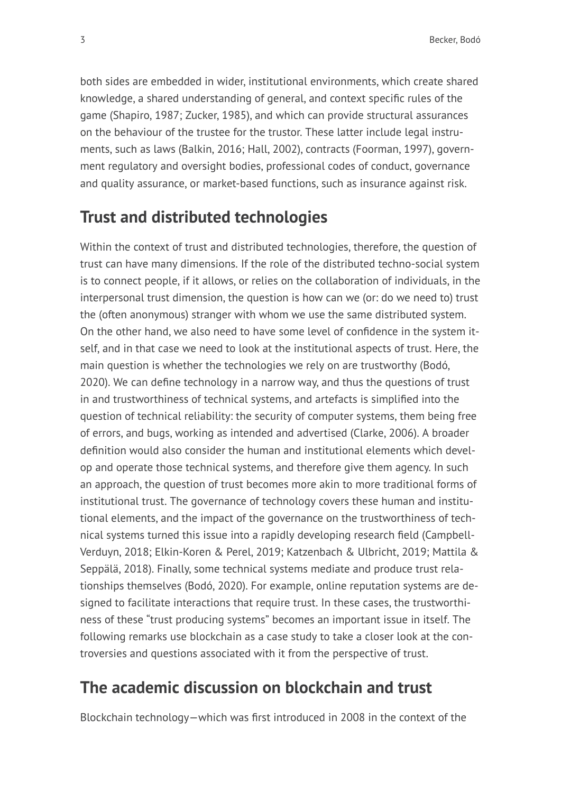both sides are embedded in wider, institutional environments, which create shared knowledge, a shared understanding of general, and context specific rules of the game (Shapiro, 1987; Zucker, 1985), and which can provide structural assurances on the behaviour of the trustee for the trustor. These latter include legal instruments, such as laws (Balkin, 2016; Hall, 2002), contracts (Foorman, 1997), government regulatory and oversight bodies, professional codes of conduct, governance and quality assurance, or market-based functions, such as insurance against risk.

## **Trust and distributed technologies**

Within the context of trust and distributed technologies, therefore, the question of trust can have many dimensions. If the role of the distributed techno-social system is to connect people, if it allows, or relies on the collaboration of individuals, in the interpersonal trust dimension, the question is how can we (or: do we need to) trust the (often anonymous) stranger with whom we use the same distributed system. On the other hand, we also need to have some level of confidence in the system itself, and in that case we need to look at the institutional aspects of trust. Here, the main question is whether the technologies we rely on are trustworthy (Bodó, 2020). We can define technology in a narrow way, and thus the questions of trust in and trustworthiness of technical systems, and artefacts is simplified into the question of technical reliability: the security of computer systems, them being free of errors, and bugs, working as intended and advertised (Clarke, 2006). A broader definition would also consider the human and institutional elements which develop and operate those technical systems, and therefore give them agency. In such an approach, the question of trust becomes more akin to more traditional forms of institutional trust. The governance of technology covers these human and institutional elements, and the impact of the governance on the trustworthiness of technical systems turned this issue into a rapidly developing research field (Campbell-Verduyn, 2018; Elkin-Koren & Perel, 2019; Katzenbach & Ulbricht, 2019; Mattila & Seppälä, 2018). Finally, some technical systems mediate and produce trust relationships themselves (Bodó, 2020). For example, online reputation systems are designed to facilitate interactions that require trust. In these cases, the trustworthiness of these "trust producing systems" becomes an important issue in itself. The following remarks use blockchain as a case study to take a closer look at the controversies and questions associated with it from the perspective of trust.

## **The academic discussion on blockchain and trust**

Blockchain technology—which was first introduced in 2008 in the context of the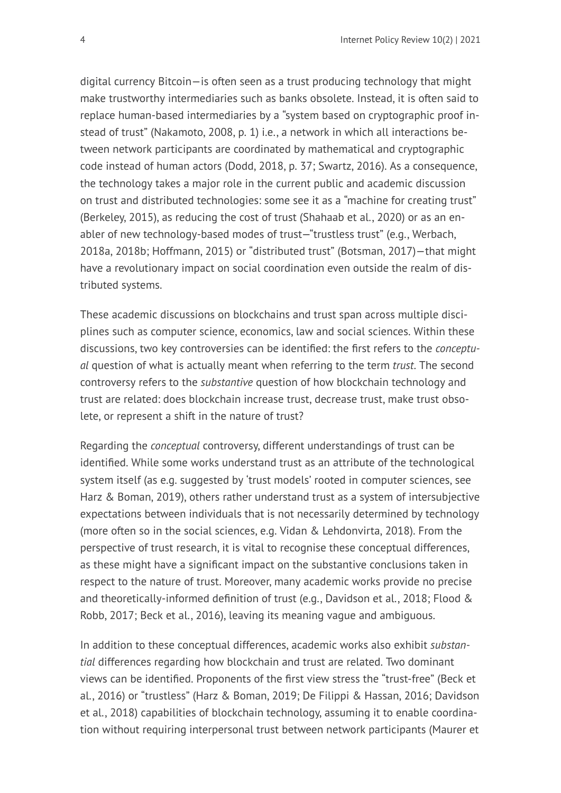digital currency Bitcoin—is often seen as a trust producing technology that might make trustworthy intermediaries such as banks obsolete. Instead, it is often said to replace human-based intermediaries by a "system based on cryptographic proof instead of trust" (Nakamoto, 2008, p. 1) i.e., a network in which all interactions between network participants are coordinated by mathematical and cryptographic code instead of human actors (Dodd, 2018, p. 37; Swartz, 2016). As a consequence, the technology takes a major role in the current public and academic discussion on trust and distributed technologies: some see it as a "machine for creating trust" (Berkeley, 2015), as reducing the cost of trust (Shahaab et al., 2020) or as an enabler of new technology-based modes of trust—"trustless trust" (e.g., Werbach, 2018a, 2018b; Hoffmann, 2015) or "distributed trust" (Botsman, 2017)—that might have a revolutionary impact on social coordination even outside the realm of distributed systems.

These academic discussions on blockchains and trust span across multiple disciplines such as computer science, economics, law and social sciences. Within these discussions, two key controversies can be identified: the first refers to the *conceptual* question of what is actually meant when referring to the term *trust*. The second controversy refers to the *substantive* question of how blockchain technology and trust are related: does blockchain increase trust, decrease trust, make trust obsolete, or represent a shift in the nature of trust?

Regarding the *conceptual* controversy, different understandings of trust can be identified. While some works understand trust as an attribute of the technological system itself (as e.g. suggested by 'trust models' rooted in computer sciences, see Harz & Boman, 2019), others rather understand trust as a system of intersubjective expectations between individuals that is not necessarily determined by technology (more often so in the social sciences, e.g. Vidan & Lehdonvirta, 2018). From the perspective of trust research, it is vital to recognise these conceptual differences, as these might have a significant impact on the substantive conclusions taken in respect to the nature of trust. Moreover, many academic works provide no precise and theoretically-informed definition of trust (e.g., Davidson et al., 2018; Flood & Robb, 2017; Beck et al., 2016), leaving its meaning vague and ambiguous.

In addition to these conceptual differences, academic works also exhibit *substantial* differences regarding how blockchain and trust are related. Two dominant views can be identified. Proponents of the first view stress the "trust-free" (Beck et al., 2016) or "trustless" (Harz & Boman, 2019; De Filippi & Hassan, 2016; Davidson et al., 2018) capabilities of blockchain technology, assuming it to enable coordination without requiring interpersonal trust between network participants (Maurer et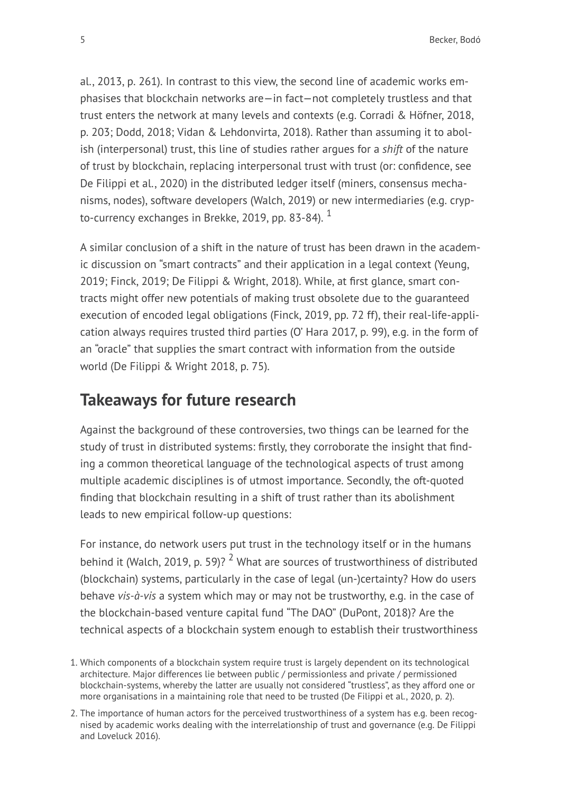al., 2013, p. 261). In contrast to this view, the second line of academic works emphasises that blockchain networks are—in fact—not completely trustless and that trust enters the network at many levels and contexts (e.g. Corradi & Höfner, 2018, p. 203; Dodd, 2018; Vidan & Lehdonvirta, 2018). Rather than assuming it to abolish (interpersonal) trust, this line of studies rather argues for a *shift* of the nature of trust by blockchain, replacing interpersonal trust with trust (or: confidence, see De Filippi et al., 2020) in the distributed ledger itself (miners, consensus mechanisms, nodes), software developers (Walch, 2019) or new intermediaries (e.g. crypto-currency exchanges in Brekke, 2019, pp. 83-84).  $1$ 

A similar conclusion of a shift in the nature of trust has been drawn in the academic discussion on "smart contracts" and their application in a legal context (Yeung, 2019; Finck, 2019; De Filippi & Wright, 2018). While, at first glance, smart contracts might offer new potentials of making trust obsolete due to the guaranteed execution of encoded legal obligations (Finck, 2019, pp. 72 ff), their real-life-application always requires trusted third parties (O' Hara 2017, p. 99), e.g. in the form of an "oracle" that supplies the smart contract with information from the outside world (De Filippi & Wright 2018, p. 75).

### **Takeaways for future research**

Against the background of these controversies, two things can be learned for the study of trust in distributed systems: firstly, they corroborate the insight that finding a common theoretical language of the technological aspects of trust among multiple academic disciplines is of utmost importance. Secondly, the oft-quoted finding that blockchain resulting in a shift of trust rather than its abolishment leads to new empirical follow-up questions:

For instance, do network users put trust in the technology itself or in the humans behind it (Walch, 2019, p. 59)? <sup>2</sup> What are sources of trustworthiness of distributed (blockchain) systems, particularly in the case of legal (un-)certainty? How do users behave *vis-à-vis* a system which may or may not be trustworthy, e.g. in the case of the blockchain-based venture capital fund "The DAO" (DuPont, 2018)? Are the technical aspects of a blockchain system enough to establish their trustworthiness

<sup>1.</sup> Which components of a blockchain system require trust is largely dependent on its technological architecture. Major differences lie between public / permissionless and private / permissioned blockchain-systems, whereby the latter are usually not considered "trustless", as they afford one or more organisations in a maintaining role that need to be trusted (De Filippi et al., 2020, p. 2).

<sup>2.</sup> The importance of human actors for the perceived trustworthiness of a system has e.g. been recognised by academic works dealing with the interrelationship of trust and governance (e.g. De Filippi and Loveluck 2016).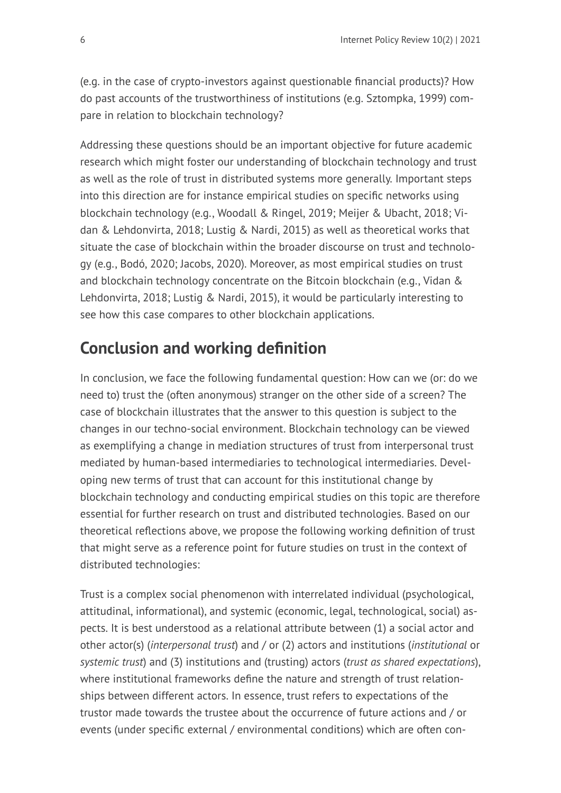(e.g. in the case of crypto-investors against questionable financial products)? How do past accounts of the trustworthiness of institutions (e.g. Sztompka, 1999) compare in relation to blockchain technology?

Addressing these questions should be an important objective for future academic research which might foster our understanding of blockchain technology and trust as well as the role of trust in distributed systems more generally. Important steps into this direction are for instance empirical studies on specific networks using blockchain technology (e.g., Woodall & Ringel, 2019; Meijer & Ubacht, 2018; Vidan & Lehdonvirta, 2018; Lustig & Nardi, 2015) as well as theoretical works that situate the case of blockchain within the broader discourse on trust and technology (e.g., Bodó, 2020; Jacobs, 2020). Moreover, as most empirical studies on trust and blockchain technology concentrate on the Bitcoin blockchain (e.g., Vidan & Lehdonvirta, 2018; Lustig & Nardi, 2015), it would be particularly interesting to see how this case compares to other blockchain applications.

# **Conclusion and working definition**

In conclusion, we face the following fundamental question: How can we (or: do we need to) trust the (often anonymous) stranger on the other side of a screen? The case of blockchain illustrates that the answer to this question is subject to the changes in our techno-social environment. Blockchain technology can be viewed as exemplifying a change in mediation structures of trust from interpersonal trust mediated by human-based intermediaries to technological intermediaries. Developing new terms of trust that can account for this institutional change by blockchain technology and conducting empirical studies on this topic are therefore essential for further research on trust and distributed technologies. Based on our theoretical reflections above, we propose the following working definition of trust that might serve as a reference point for future studies on trust in the context of distributed technologies:

Trust is a complex social phenomenon with interrelated individual (psychological, attitudinal, informational), and systemic (economic, legal, technological, social) aspects. It is best understood as a relational attribute between (1) a social actor and other actor(s) (*interpersonal trust*) and / or (2) actors and institutions (*institutional* or *systemic trust*) and (3) institutions and (trusting) actors (*trust as shared expectations*), where institutional frameworks define the nature and strength of trust relationships between different actors. In essence, trust refers to expectations of the trustor made towards the trustee about the occurrence of future actions and / or events (under specific external / environmental conditions) which are often con-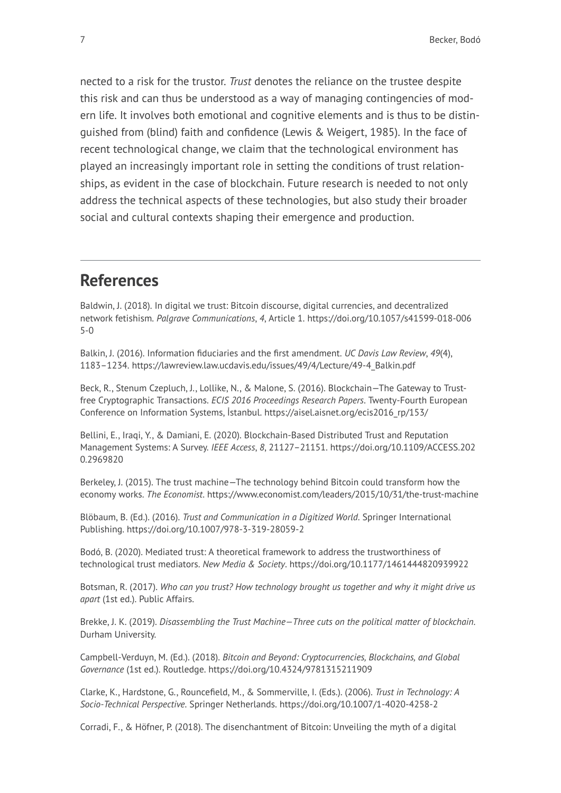nected to a risk for the trustor. *Trust* denotes the reliance on the trustee despite this risk and can thus be understood as a way of managing contingencies of modern life. It involves both emotional and cognitive elements and is thus to be distinguished from (blind) faith and confidence (Lewis & Weigert, 1985). In the face of recent technological change, we claim that the technological environment has played an increasingly important role in setting the conditions of trust relationships, as evident in the case of blockchain. Future research is needed to not only address the technical aspects of these technologies, but also study their broader social and cultural contexts shaping their emergence and production.

### **References**

Baldwin, J. (2018). In digital we trust: Bitcoin discourse, digital currencies, and decentralized network fetishism. *Palgrave Communications*, *4*, Article 1. [https://doi.org/10.1057/s41599-018-006](https://doi.org/10.1057/s41599-018-0065-0) [5-0](https://doi.org/10.1057/s41599-018-0065-0) 

Balkin, J. (2016). Information fiduciaries and the first amendment. *UC Davis Law Review*, *49*(4), 1183–1234. [https://lawreview.law.ucdavis.edu/issues/49/4/Lecture/49-4\\_Balkin.pdf](https://lawreview.law.ucdavis.edu/issues/49/4/Lecture/49-4_Balkin.pdf) 

Beck, R., Stenum Czepluch, J., Lollike, N., & Malone, S. (2016). Blockchain—The Gateway to Trustfree Cryptographic Transactions. *ECIS 2016 Proceedings Research Papers*. Twenty-Fourth European Conference on Information Systems, İstanbul. [https://aisel.aisnet.org/ecis2016\\_rp/153/](https://aisel.aisnet.org/ecis2016_rp/153/)

Bellini, E., Iraqi, Y., & Damiani, E. (2020). Blockchain-Based Distributed Trust and Reputation Management Systems: A Survey. *IEEE Access*, *8*, 21127–21151. [https://doi.org/10.1109/ACCESS.202](https://doi.org/10.1109/ACCESS.2020.2969820) [0.2969820](https://doi.org/10.1109/ACCESS.2020.2969820) 

Berkeley, J. (2015). The trust machine—The technology behind Bitcoin could transform how the economy works. *The Economist*. <https://www.economist.com/leaders/2015/10/31/the-trust-machine>

Blöbaum, B. (Ed.). (2016). *Trust and Communication in a Digitized World*. Springer International Publishing. <https://doi.org/10.1007/978-3-319-28059-2>

Bodó, B. (2020). Mediated trust: A theoretical framework to address the trustworthiness of technological trust mediators. *New Media & Society*.<https://doi.org/10.1177/1461444820939922>

Botsman, R. (2017). *Who can you trust? How technology brought us together and why it might drive us apart* (1st ed.). Public Affairs.

Brekke, J. K. (2019). *Disassembling the Trust Machine—Three cuts on the political matter of blockchain*. Durham University.

Campbell-Verduyn, M. (Ed.). (2018). *Bitcoin and Beyond: Cryptocurrencies, Blockchains, and Global Governance* (1st ed.). Routledge.<https://doi.org/10.4324/9781315211909>

Clarke, K., Hardstone, G., Rouncefield, M., & Sommerville, I. (Eds.). (2006). *Trust in Technology: A Socio-Technical Perspective*. Springer Netherlands. <https://doi.org/10.1007/1-4020-4258-2>

Corradi, F., & Höfner, P. (2018). The disenchantment of Bitcoin: Unveiling the myth of a digital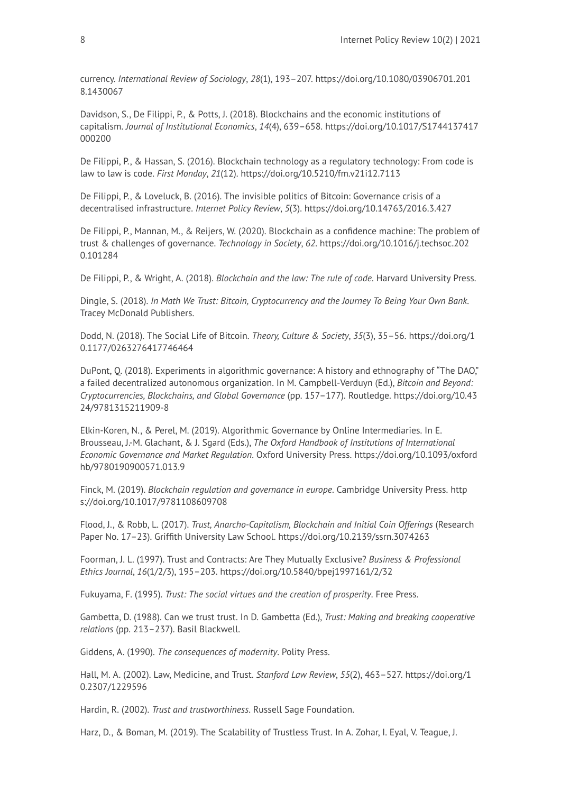currency. *International Review of Sociology*, *28*(1), 193–207. [https://doi.org/10.1080/03906701.201](https://doi.org/10.1080/03906701.2018.1430067) [8.1430067](https://doi.org/10.1080/03906701.2018.1430067) 

Davidson, S., De Filippi, P., & Potts, J. (2018). Blockchains and the economic institutions of capitalism. *Journal of Institutional Economics*, *14*(4), 639–658. [https://doi.org/10.1017/S1744137417](https://doi.org/10.1017/S1744137417000200) [000200](https://doi.org/10.1017/S1744137417000200) 

De Filippi, P., & Hassan, S. (2016). Blockchain technology as a regulatory technology: From code is law to law is code. *First Monday*, *21*(12). <https://doi.org/10.5210/fm.v21i12.7113>

De Filippi, P., & Loveluck, B. (2016). The invisible politics of Bitcoin: Governance crisis of a decentralised infrastructure. *Internet Policy Review*, *5*(3).<https://doi.org/10.14763/2016.3.427>

De Filippi, P., Mannan, M., & Reijers, W. (2020). Blockchain as a confidence machine: The problem of trust & challenges of governance. *Technology in Society*, *62*. [https://doi.org/10.1016/j.techsoc.202](https://doi.org/10.1016/j.techsoc.2020.101284) [0.101284](https://doi.org/10.1016/j.techsoc.2020.101284)

De Filippi, P., & Wright, A. (2018). *Blockchain and the law: The rule of code*. Harvard University Press.

Dingle, S. (2018). *In Math We Trust: Bitcoin, Cryptocurrency and the Journey To Being Your Own Bank*. Tracey McDonald Publishers.

Dodd, N. (2018). The Social Life of Bitcoin. *Theory, Culture & Society*, *35*(3), 35–56. [https://doi.org/1](https://doi.org/10.1177/0263276417746464) [0.1177/0263276417746464](https://doi.org/10.1177/0263276417746464)

DuPont, Q. (2018). Experiments in algorithmic governance: A history and ethnography of "The DAO," a failed decentralized autonomous organization. In M. Campbell-Verduyn (Ed.), *Bitcoin and Beyond: Cryptocurrencies, Blockchains, and Global Governance* (pp. 157–177). Routledge. [https://doi.org/10.43](https://doi.org/10.4324/9781315211909-8) [24/9781315211909-8](https://doi.org/10.4324/9781315211909-8)

Elkin-Koren, N., & Perel, M. (2019). Algorithmic Governance by Online Intermediaries. In E. Brousseau, J.-M. Glachant, & J. Sgard (Eds.), *The Oxford Handbook of Institutions of International Economic Governance and Market Regulation*. Oxford University Press. [https://doi.org/10.1093/oxford](https://doi.org/10.1093/oxfordhb/9780190900571.013.9) [hb/9780190900571.013.9](https://doi.org/10.1093/oxfordhb/9780190900571.013.9)

Finck, M. (2019). *Blockchain regulation and governance in europe*. Cambridge University Press. [http](https://doi.org/10.1017/9781108609708) [s://doi.org/10.1017/9781108609708](https://doi.org/10.1017/9781108609708)

Flood, J., & Robb, L. (2017). *Trust, Anarcho-Capitalism, Blockchain and Initial Coin Offerings* (Research Paper No. 17–23). Griffith University Law School.<https://doi.org/10.2139/ssrn.3074263>

Foorman, J. L. (1997). Trust and Contracts: Are They Mutually Exclusive? *Business & Professional Ethics Journal*, *16*(1/2/3), 195–203. <https://doi.org/10.5840/bpej1997161/2/32>

Fukuyama, F. (1995). *Trust: The social virtues and the creation of prosperity*. Free Press.

Gambetta, D. (1988). Can we trust trust. In D. Gambetta (Ed.), *Trust: Making and breaking cooperative relations* (pp. 213–237). Basil Blackwell.

Giddens, A. (1990). *The consequences of modernity*. Polity Press.

Hall, M. A. (2002). Law, Medicine, and Trust. *Stanford Law Review*, *55*(2), 463–527. [https://doi.org/1](https://doi.org/10.2307/1229596) [0.2307/1229596](https://doi.org/10.2307/1229596)

Hardin, R. (2002). *Trust and trustworthiness*. Russell Sage Foundation.

Harz, D., & Boman, M. (2019). The Scalability of Trustless Trust. In A. Zohar, I. Eyal, V. Teague, J.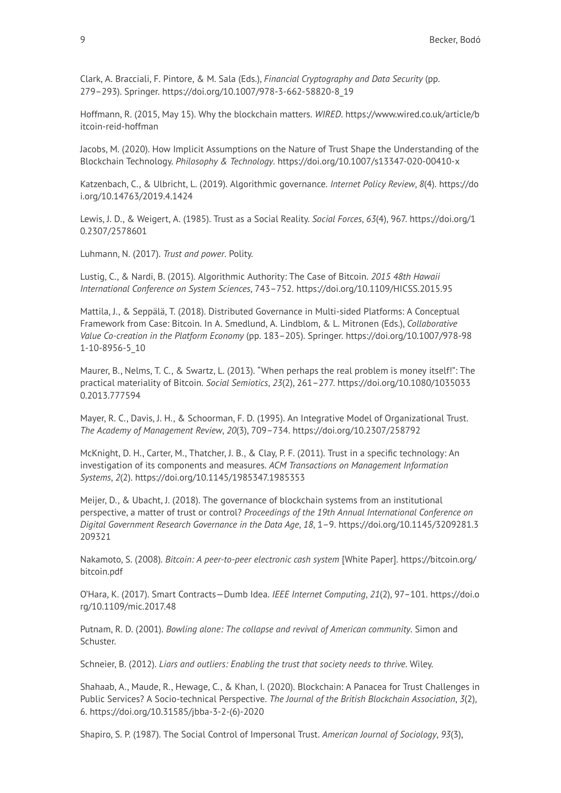Clark, A. Bracciali, F. Pintore, & M. Sala (Eds.), *Financial Cryptography and Data Security* (pp. 279–293). Springer. [https://doi.org/10.1007/978-3-662-58820-8\\_19](https://doi.org/10.1007/978-3-662-58820-8_19)

Hoffmann, R. (2015, May 15). Why the blockchain matters. *WIRED*. [https://www.wired.co.uk/article/b](https://www.wired.co.uk/article/bitcoin-reid-hoffman) [itcoin-reid-hoffman](https://www.wired.co.uk/article/bitcoin-reid-hoffman)

Jacobs, M. (2020). How Implicit Assumptions on the Nature of Trust Shape the Understanding of the Blockchain Technology. *Philosophy & Technology*. <https://doi.org/10.1007/s13347-020-00410-x>

Katzenbach, C., & Ulbricht, L. (2019). Algorithmic governance. *Internet Policy Review*, *8*(4). [https://do](https://doi.org/10.14763/2019.4.1424) [i.org/10.14763/2019.4.1424](https://doi.org/10.14763/2019.4.1424) 

Lewis, J. D., & Weigert, A. (1985). Trust as a Social Reality. *Social Forces*, *63*(4), 967. [https://doi.org/1](https://doi.org/10.2307/2578601) [0.2307/2578601](https://doi.org/10.2307/2578601)

Luhmann, N. (2017). *Trust and power*. Polity.

Lustig, C., & Nardi, B. (2015). Algorithmic Authority: The Case of Bitcoin. *2015 48th Hawaii International Conference on System Sciences*, 743–752. <https://doi.org/10.1109/HICSS.2015.95>

Mattila, J., & Seppälä, T. (2018). Distributed Governance in Multi-sided Platforms: A Conceptual Framework from Case: Bitcoin. In A. Smedlund, A. Lindblom, & L. Mitronen (Eds.), *Collaborative Value Co-creation in the Platform Economy* (pp. 183–205). Springer. [https://doi.org/10.1007/978-98](https://doi.org/10.1007/978-981-10-8956-5_10) [1-10-8956-5\\_10](https://doi.org/10.1007/978-981-10-8956-5_10)

Maurer, B., Nelms, T. C., & Swartz, L. (2013). "When perhaps the real problem is money itself!": The practical materiality of Bitcoin. *Social Semiotics*, *23*(2), 261–277. [https://doi.org/10.1080/1035033](https://doi.org/10.1080/10350330.2013.777594) [0.2013.777594](https://doi.org/10.1080/10350330.2013.777594)

Mayer, R. C., Davis, J. H., & Schoorman, F. D. (1995). An Integrative Model of Organizational Trust. *The Academy of Management Review*, *20*(3), 709–734. <https://doi.org/10.2307/258792>

McKnight, D. H., Carter, M., Thatcher, J. B., & Clay, P. F. (2011). Trust in a specific technology: An investigation of its components and measures. *ACM Transactions on Management Information Systems*, *2*(2). <https://doi.org/10.1145/1985347.1985353>

Meijer, D., & Ubacht, J. (2018). The governance of blockchain systems from an institutional perspective, a matter of trust or control? *Proceedings of the 19th Annual International Conference on Digital Government Research Governance in the Data Age*, *18*, 1–9. [https://doi.org/10.1145/3209281.3](https://doi.org/10.1145/3209281.3209321) [209321](https://doi.org/10.1145/3209281.3209321) 

Nakamoto, S. (2008). *Bitcoin: A peer-to-peer electronic cash system* [White Paper]. [https://bitcoin.org/](https://bitcoin.org/bitcoin.pdf) [bitcoin.pdf](https://bitcoin.org/bitcoin.pdf)

O'Hara, K. (2017). Smart Contracts—Dumb Idea. *IEEE Internet Computing*, *21*(2), 97–101. [https://doi.o](https://doi.org/10.1109/mic.2017.48) [rg/10.1109/mic.2017.48](https://doi.org/10.1109/mic.2017.48) 

Putnam, R. D. (2001). *Bowling alone: The collapse and revival of American community*. Simon and Schuster.

Schneier, B. (2012). *Liars and outliers: Enabling the trust that society needs to thrive*. Wiley.

Shahaab, A., Maude, R., Hewage, C., & Khan, I. (2020). Blockchain: A Panacea for Trust Challenges in Public Services? A Socio-technical Perspective. *The Journal of the British Blockchain Association*, *3*(2), 6. [https://doi.org/10.31585/jbba-3-2-\(6\)-2020](https://doi.org/10.31585/jbba-3-2-(6)-2020)

Shapiro, S. P. (1987). The Social Control of Impersonal Trust. *American Journal of Sociology*, *93*(3),